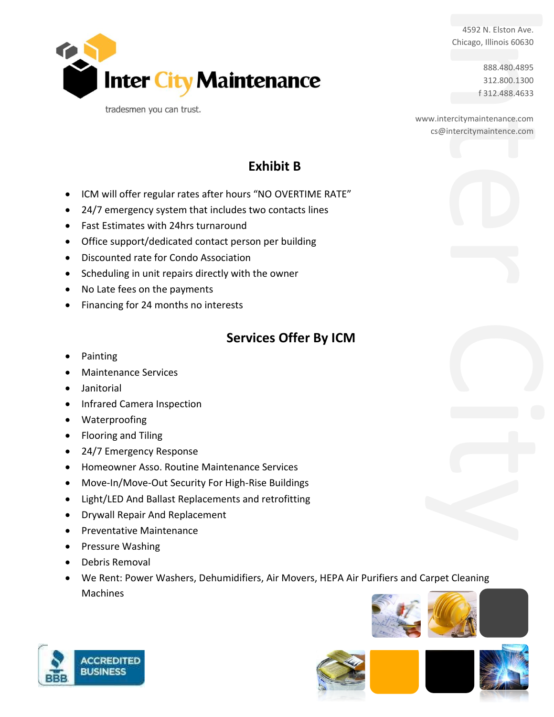Chicago, Illinois 60630

888.480.4895 312.800.1300 f 312.488.4633

4592 N. Elston Ave.<br>
Chicago, Illinois 60630<br>
888.480.4895<br>
312.800.1300<br>
f 312.488.4633<br>
www.intercitymaintenance.com<br>
cs@intercitymaintenace.com<br>
cs@intercitymaintenace.com www.intercitymaintenance.com cs@intercitymaintence.com

## **Exhibit B**

• ICM will offer regular rates after hours "NO OVERTIME RATE"

**Inter City Maintenance** 

- 24/7 emergency system that includes two contacts lines
- Fast Estimates with 24hrs turnaround

tradesmen you can trust.

- Office support/dedicated contact person per building
- Discounted rate for Condo Association
- Scheduling in unit repairs directly with the owner
- No Late fees on the payments
- Financing for 24 months no interests

## **Services Offer By ICM**

- Painting
- Maintenance Services
- Janitorial
- Infrared Camera Inspection
- Waterproofing
- Flooring and Tiling
- 24/7 Emergency Response
- Homeowner Asso. Routine Maintenance Services
- Move-In/Move-Out Security For High-Rise Buildings
- Light/LED And Ballast Replacements and retrofitting
- Drywall Repair And Replacement
- Preventative Maintenance
- Pressure Washing
- Debris Removal
- We Rent: Power Washers, Dehumidifiers, Air Movers, HEPA Air Purifiers and Carpet Cleaning Machines